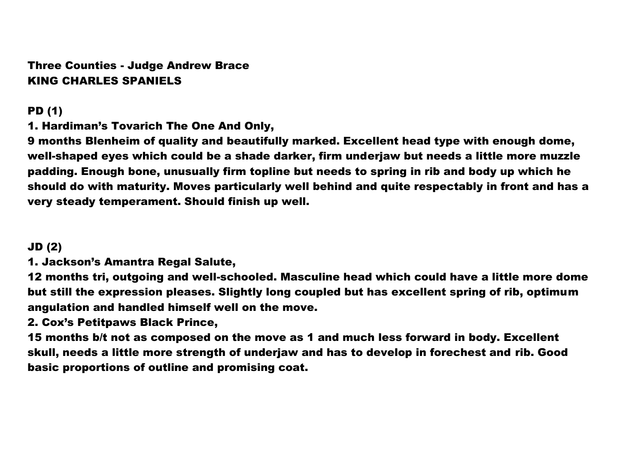Three Counties - Judge Andrew Brace KING CHARLES SPANIELS

PD (1)

1. Hardiman's Tovarich The One And Only,

9 months Blenheim of quality and beautifully marked. Excellent head type with enough dome, well-shaped eyes which could be a shade darker, firm underjaw but needs a little more muzzle padding. Enough bone, unusually firm topline but needs to spring in rib and body up which he should do with maturity. Moves particularly well behind and quite respectably in front and has a very steady temperament. Should finish up well.

# JD (2)

1. Jackson's Amantra Regal Salute,

12 months tri, outgoing and well-schooled. Masculine head which could have a little more dome but still the expression pleases. Slightly long coupled but has excellent spring of rib, optimum angulation and handled himself well on the move.

# 2. Cox's Petitpaws Black Prince,

15 months b/t not as composed on the move as 1 and much less forward in body. Excellent skull, needs a little more strength of underjaw and has to develop in forechest and rib. Good basic proportions of outline and promising coat.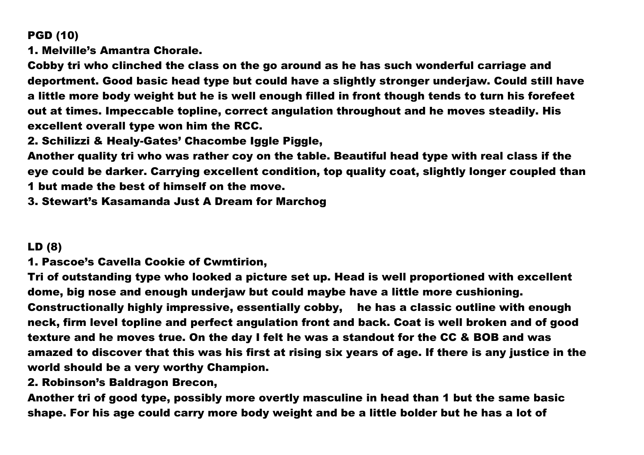# PGD (10)

1. Melville's Amantra Chorale.

Cobby tri who clinched the class on the go around as he has such wonderful carriage and deportment. Good basic head type but could have a slightly stronger underjaw. Could still have a little more body weight but he is well enough filled in front though tends to turn his forefeet out at times. Impeccable topline, correct angulation throughout and he moves steadily. His excellent overall type won him the RCC.

2. Schilizzi & Healy-Gates' Chacombe Iggle Piggle,

Another quality tri who was rather coy on the table. Beautiful head type with real class if the eye could be darker. Carrying excellent condition, top quality coat, slightly longer coupled than 1 but made the best of himself on the move.

3. Stewart's Kasamanda Just A Dream for Marchog

#### LD (8)

1. Pascoe's Cavella Cookie of Cwmtirion,

Tri of outstanding type who looked a picture set up. Head is well proportioned with excellent dome, big nose and enough underjaw but could maybe have a little more cushioning. Constructionally highly impressive, essentially cobby, he has a classic outline with enough neck, firm level topline and perfect angulation front and back. Coat is well broken and of good texture and he moves true. On the day I felt he was a standout for the CC & BOB and was amazed to discover that this was his first at rising six years of age. If there is any justice in the world should be a very worthy Champion.

2. Robinson's Baldragon Brecon,

Another tri of good type, possibly more overtly masculine in head than 1 but the same basic shape. For his age could carry more body weight and be a little bolder but he has a lot of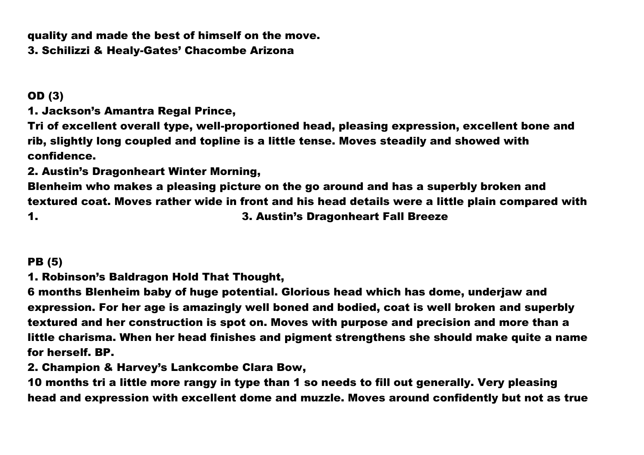quality and made the best of himself on the move.

3. Schilizzi & Healy-Gates' Chacombe Arizona

# OD (3)

1. Jackson's Amantra Regal Prince,

Tri of excellent overall type, well-proportioned head, pleasing expression, excellent bone and rib, slightly long coupled and topline is a little tense. Moves steadily and showed with confidence.

2. Austin's Dragonheart Winter Morning,

Blenheim who makes a pleasing picture on the go around and has a superbly broken and textured coat. Moves rather wide in front and his head details were a little plain compared with 1. 3. Austin's Dragonheart Fall Breeze

# PB (5)

1. Robinson's Baldragon Hold That Thought,

6 months Blenheim baby of huge potential. Glorious head which has dome, underjaw and expression. For her age is amazingly well boned and bodied, coat is well broken and superbly textured and her construction is spot on. Moves with purpose and precision and more than a little charisma. When her head finishes and pigment strengthens she should make quite a name for herself. BP.

2. Champion & Harvey's Lankcombe Clara Bow,

10 months tri a little more rangy in type than 1 so needs to fill out generally. Very pleasing head and expression with excellent dome and muzzle. Moves around confidently but not as true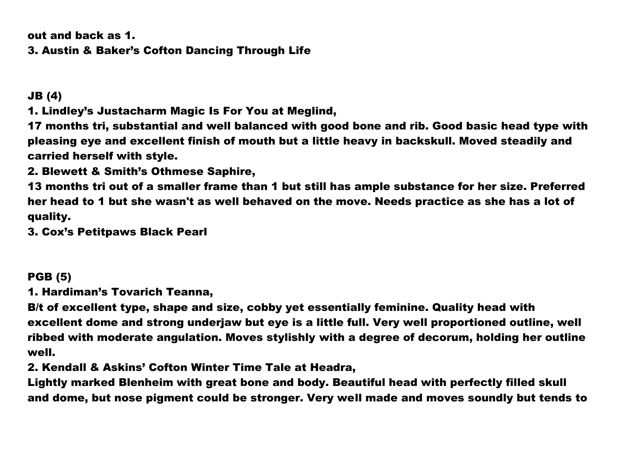out and back as 1. 3. Austin & Baker's Cofton Dancing Through Life

JB (4)

1. Lindley's Justacharm Magic Is For You at Meglind,

17 months tri, substantial and well balanced with good bone and rib. Good basic head type with pleasing eye and excellent finish of mouth but a little heavy in backskull. Moved steadily and carried herself with style.

2. Blewett & Smith's Othmese Saphire,

13 months tri out of a smaller frame than 1 but still has ample substance for her size. Preferred her head to 1 but she wasn't as well behaved on the move. Needs practice as she has a lot of quality.

3. Cox's Petitpaws Black Pearl

PGB (5)

1. Hardiman's Tovarich Teanna,

B/t of excellent type, shape and size, cobby yet essentially feminine. Quality head with excellent dome and strong underjaw but eye is a little full. Very well proportioned outline, well ribbed with moderate angulation. Moves stylishly with a degree of decorum, holding her outline well.

2. Kendall & Askins' Cofton Winter Time Tale at Headra,

Lightly marked Blenheim with great bone and body. Beautiful head with perfectly filled skull and dome, but nose pigment could be stronger. Very well made and moves soundly but tends to